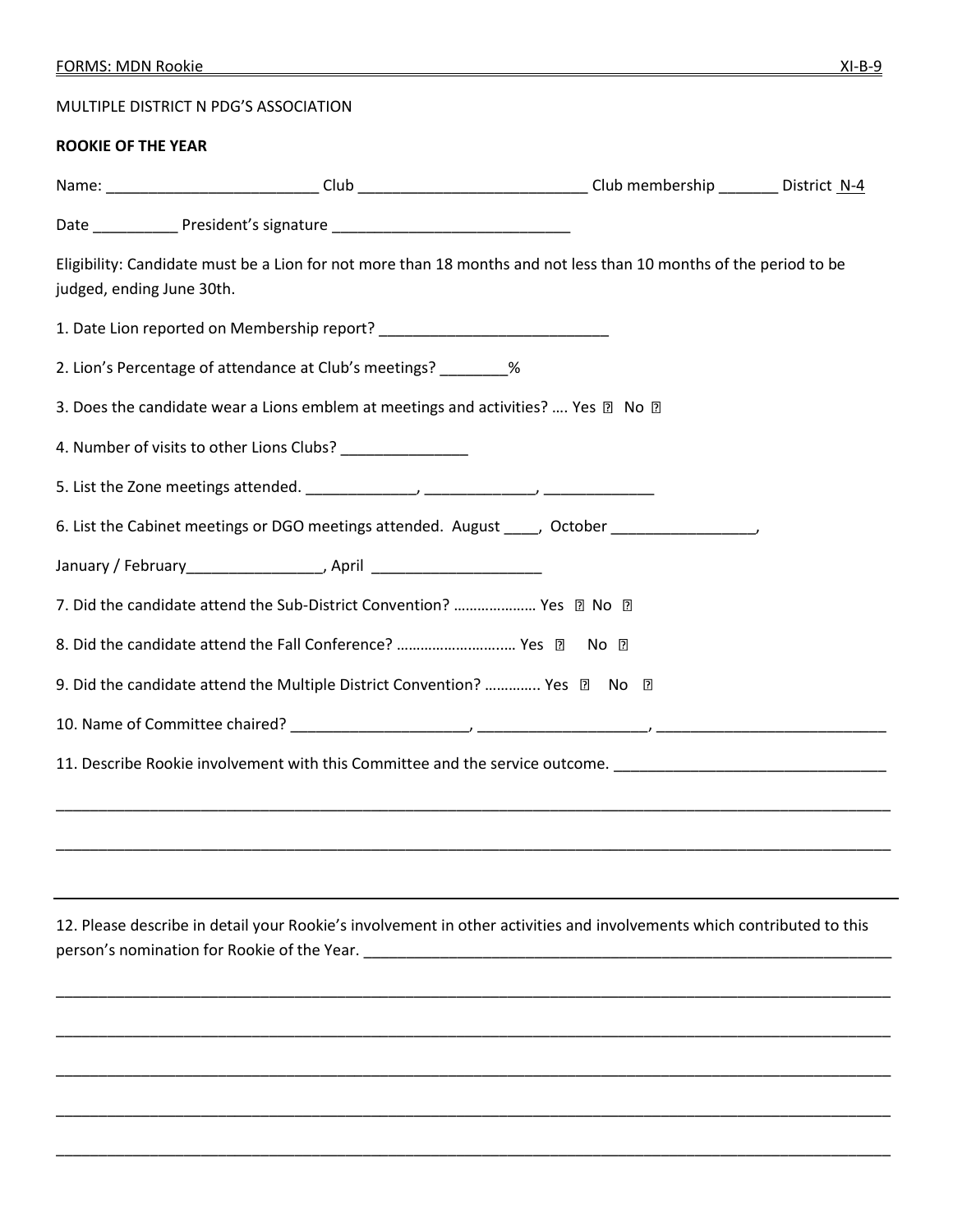MULTIPLE DISTRICT N PDG'S ASSOCIATION

## **ROOKIE OF THE YEAR**

|                           | Name: _______________________________Club ________________________________Club membership _________ District N-4                                                                                                                         |  |
|---------------------------|------------------------------------------------------------------------------------------------------------------------------------------------------------------------------------------------------------------------------------------|--|
|                           |                                                                                                                                                                                                                                          |  |
| judged, ending June 30th. | Eligibility: Candidate must be a Lion for not more than 18 months and not less than 10 months of the period to be                                                                                                                        |  |
|                           |                                                                                                                                                                                                                                          |  |
|                           | 2. Lion's Percentage of attendance at Club's meetings? _________ %                                                                                                                                                                       |  |
|                           | 3. Does the candidate wear a Lions emblem at meetings and activities?  Yes 2 No 2                                                                                                                                                        |  |
|                           | 4. Number of visits to other Lions Clubs? _______________                                                                                                                                                                                |  |
|                           |                                                                                                                                                                                                                                          |  |
|                           | 6. List the Cabinet meetings or DGO meetings attended. August _____, October __________________,                                                                                                                                         |  |
|                           | January / February_____________________, April _________________________________                                                                                                                                                         |  |
|                           | 7. Did the candidate attend the Sub-District Convention?  Yes 2 No 2                                                                                                                                                                     |  |
|                           | 8. Did the candidate attend the Fall Conference?  Yes 2 No 2                                                                                                                                                                             |  |
|                           | 9. Did the candidate attend the Multiple District Convention?  Yes 2 No 2                                                                                                                                                                |  |
|                           |                                                                                                                                                                                                                                          |  |
|                           | 11. Describe Rookie involvement with this Committee and the service outcome. _________________________________                                                                                                                           |  |
|                           |                                                                                                                                                                                                                                          |  |
|                           |                                                                                                                                                                                                                                          |  |
|                           |                                                                                                                                                                                                                                          |  |
|                           | 12. Please describe in detail your Rookie's involvement in other activities and involvements which contributed to this<br>person's nomination for Rookie of the Year. The control of the state of the state of the state of the state of |  |
|                           |                                                                                                                                                                                                                                          |  |
|                           |                                                                                                                                                                                                                                          |  |
|                           |                                                                                                                                                                                                                                          |  |
|                           |                                                                                                                                                                                                                                          |  |
|                           |                                                                                                                                                                                                                                          |  |